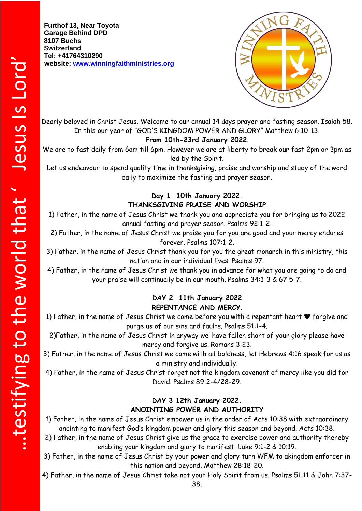**Furthof 13, Near Toyota Garage Behind DPD 8107 Buchs Switzerland Tel: +41764310290 website: [www.winningfaithministries.org](http://www.winningfaithministries.org/)**



Dearly beloved in Christ Jesus. Welcome to our annual 14 days prayer and fasting season. Isaiah 58. In this our year of "GOD'S KINGDOM POWER AND GLORY" Matthew 6:10-13.

#### **From 10th-23rd January 2022**.

We are to fast daily from 6am till 6pm. However we are at liberty to break our fast 2pm or 3pm as led by the Spirit.

Let us endeavour to spend quality time in thanksgiving, praise and worship and study of the word daily to maximize the fasting and prayer season.

## **Day 1 10th January 2022. THANKSGIVING PRAISE AND WORSHIP**

1) Father, in the name of Jesus Christ we thank you and appreciate you for bringing us to 2022 annual fasting and prayer season. Psalms 92:1-2.

2) Father, in the name of Jesus Christ we praise you for you are good and your mercy endures forever. Psalms 107:1-2.

3) Father, in the name of Jesus Christ thank you for you the great monarch in this ministry, this nation and in our individual lives. Psalms 97.

4) Father, in the name of Jesus Christ we thank you in advance for what you are going to do and your praise will continually be in our mouth. Psalms 34:1-3 & 67:5-7.

#### **DAY 2 11th January 2022 REPENTANCE AND MERCY**.

1) Father, in the name of Jesus Christ we come before you with a repentant heart ❤️ forgive and purge us of our sins and faults. Psalms 51:1-4.

2)Father, in the name of Jesus Christ in anyway we' have fallen short of your glory please have mercy and forgive us. Romans 3:23.

3) Father, in the name of Jesus Christ we come with all boldness, let Hebrews 4:16 speak for us as a ministry and individually.

4) Father, in the name of Jesus Christ forget not the kingdom covenant of mercy like you did for David. Psalms 89:2-4/28-29.

## **DAY 3 12th January 2022. ANOINTING POWER AND AUTHORITY**

1) Father, in the name of Jesus Christ empower us in the order of Acts 10:38 with extraordinary anointing to manifest God's kingdom power and glory this season and beyond. Acts 10:38.

- 2) Father, in the name of Jesus Christ give us the grace to exercise power and authority thereby enabling your kingdom and glory to manifest. Luke 9:1-2 & 10:19.
- 3) Father, in the name of Jesus Christ by your power and glory turn WFM to akingdom enforcer in this nation and beyond. Matthew 28:18-20.

4) Father, in the name of Jesus Christ take not your Holy Spirit from us. Psalms 51:11 & John 7:37-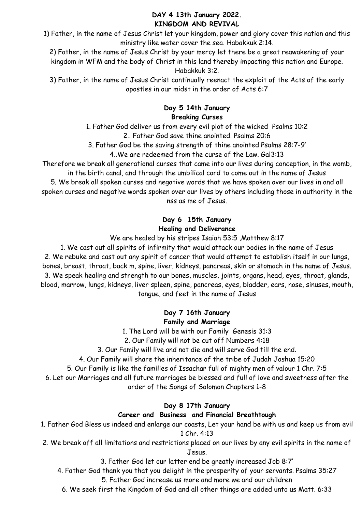#### **DAY 4 13th January 2022. KINGDOM AND REVIVAL**

1) Father, in the name of Jesus Christ let your kingdom, power and glory cover this nation and this ministry like water cover the sea. Habakkuk 2:14.

2) Father, in the name of Jesus Christ by your mercy let there be a great reawakening of your kingdom in WFM and the body of Christ in this land thereby impacting this nation and Europe. Habakkuk 3:2.

3) Father, in the name of Jesus Christ continually reenact the exploit of the Acts of the early apostles in our midst in the order of Acts 6:7

## **Day 5 14th January Breaking Curses**

1. Father God deliver us from every evil plot of the wicked Psalms 10:2 2.. Father God save thine anointed. Psalms 20:6

3. Father God be the saving strength of thine anointed Psalms 28:7-9'

4..We are redeemed from the curse of the Law. Gal3:13

Therefore we break all generational curses that came into our lives during conception, in the womb, in the birth canal, and through the umbilical cord to come out in the name of Jesus

5. We break all spoken curses and negative words that we have spoken over our lives in and all spoken curses and negative words spoken over our lives by others including those in authority in the nss as me of Jesus.

# **Day 6 15th January Healing and Deliverance**

# We are healed by his stripes Isaiah 53:5 ,Matthew 8:17

1. We cast out all spirits of infirmity that would attack our bodies in the name of Jesus 2. We rebuke and cast out any spirit of cancer that would attempt to establish itself in our lungs, bones, breast, throat, back m, spine, liver, kidneys, pancreas, skin or stomach in the name of Jesus. 3. We speak healing and strength to our bones, muscles, joints, organs, head, eyes, throat, glands, blood, marrow, lungs, kidneys, liver spleen, spine, pancreas, eyes, bladder, ears, nose, sinuses, mouth, tongue, and feet in the name of Jesus

> **Day 7 16th January Family and Marriage**

1. The Lord will be with our Family Genesis 31:3

2. Our Family will not be cut off Numbers 4:18

3. Our Family will live and not die and will serve God till the end.

4. Our Family will share the inheritance of the tribe of Judah Joshua 15:20

5. Our Family is like the families of Issachar full of mighty men of valour 1 Chr. 7:5

6. Let our Marriages and all future marriages be blessed and full of love and sweetness after the

order of the Songs of Solomon Chapters 1-8

# **Day 8 17th January**

# **Career and Business and Financial Breathtough**

1. Father God Bless us indeed and enlarge our coasts, Let your hand be with us and keep us from evil 1 Chr. 4:13

2. We break off all limitations and restrictions placed on our lives by any evil spirits in the name of Jesus.

3. Father God let our latter end be greatly increased Job 8:7'

4. Father God thank you that you delight in the prosperity of your servants. Psalms 35:27

5. Father God increase us more and more we and our children

6. We seek first the Kingdom of God and all other things are added unto us Matt. 6:33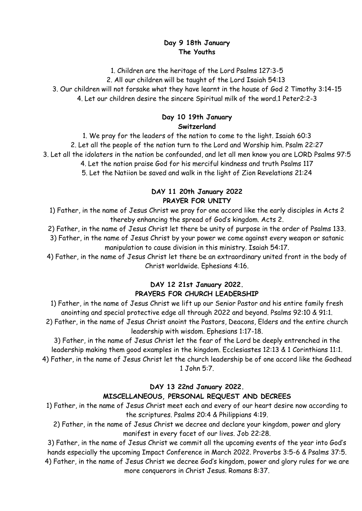### **Day 9 18th January The Youths**

1. Children are the heritage of the Lord Psalms 127:3-5

2. All our children will be taught of the Lord Isaiah 54:13

3. Our children will not forsake what they have learnt in the house of God 2 Timothy 3:14-15

4. Let our children desire the sincere Spiritual milk of the word.1 Peter2:2-3

### **Day 10 19th January Switzerland**

1. We pray for the leaders of the nation to come to the light. Isaiah 60:3 2. Let all the people of the nation turn to the Lord and Worship him. Psalm 22:27 3. Let all the idolaters in the nation be confounded, and let all men know you are LORD Psalms 97:5 4. Let the nation praise God for his merciful kindness and truth Psalms 117 5. Let the Natiion be saved and walk in the light of Zion Revelations 21:24

## **DAY 11 20th January 2022 PRAYER FOR UNITY**

1) Father, in the name of Jesus Christ we pray for one accord like the early disciples in Acts 2 thereby enhancing the spread of God's kingdom. Acts 2.

2) Father, in the name of Jesus Christ let there be unity of purpose in the order of Psalms 133.

3) Father, in the name of Jesus Christ by your power we come against every weapon or satanic manipulation to cause division in this ministry. Isaiah 54:17.

4) Father, in the name of Jesus Christ let there be an extraordinary united front in the body of Christ worldwide. Ephesians 4:16.

## **DAY 12 21st January 2022. PRAYERS FOR CHURCH LEADERSHIP**

1) Father, in the name of Jesus Christ we lift up our Senior Pastor and his entire family fresh anointing and special protective edge all through 2022 and beyond. Psalms 92:10 & 91:1.

2) Father, in the name of Jesus Christ anoint the Pastors, Deacons, Elders and the entire church leadership with wisdom. Ephesians 1:17-18.

3) Father, in the name of Jesus Christ let the fear of the Lord be deeply entrenched in the leadership making them good examples in the kingdom. Ecclesiastes 12:13 & 1 Corinthians 11:1.

4) Father, in the name of Jesus Christ let the church leadership be of one accord like the Godhead 1 John 5:7.

# **DAY 13 22nd January 2022. MISCELLANEOUS, PERSONAL REQUEST AND DECREES**

1) Father, in the name of Jesus Christ meet each and every of our heart desire now according to the scriptures. Psalms 20:4 & Philippians 4:19.

2) Father, in the name of Jesus Christ we decree and declare your kingdom, power and glory manifest in every facet of our lives. Job 22:28.

3) Father, in the name of Jesus Christ we commit all the upcoming events of the year into God's hands especially the upcoming Impact Conference in March 2022. Proverbs 3:5-6 & Psalms 37:5. 4) Father, in the name of Jesus Christ we decree God's kingdom, power and glory rules for we are more conquerors in Christ Jesus. Romans 8:37.